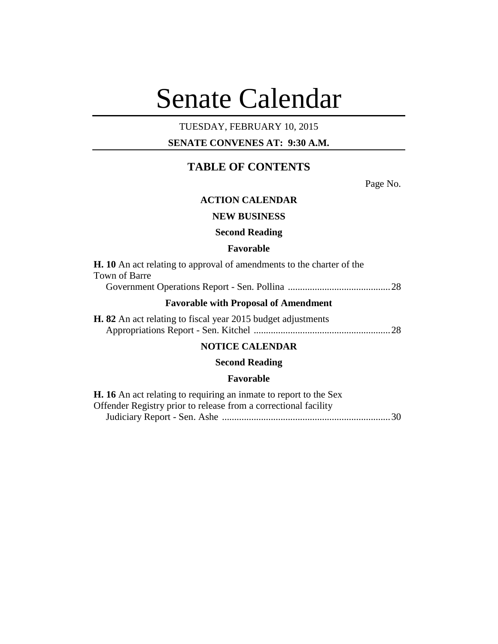# Senate Calendar

## TUESDAY, FEBRUARY 10, 2015

## **SENATE CONVENES AT: 9:30 A.M.**

## **TABLE OF CONTENTS**

Page No.

## **ACTION CALENDAR**

## **NEW BUSINESS**

#### **Second Reading**

#### **Favorable**

| <b>H.</b> 10 An act relating to approval of amendments to the charter of the |  |
|------------------------------------------------------------------------------|--|
| Town of Barre                                                                |  |
|                                                                              |  |
| <b>Favorable with Proposal of Amendment</b>                                  |  |
| <b>H. 82</b> An act relating to fiscal year 2015 budget adjustments          |  |
|                                                                              |  |
|                                                                              |  |

## **NOTICE CALENDAR**

## **Second Reading**

#### **Favorable**

| <b>H.</b> 16 An act relating to requiring an inmate to report to the Sex |  |
|--------------------------------------------------------------------------|--|
| Offender Registry prior to release from a correctional facility          |  |
|                                                                          |  |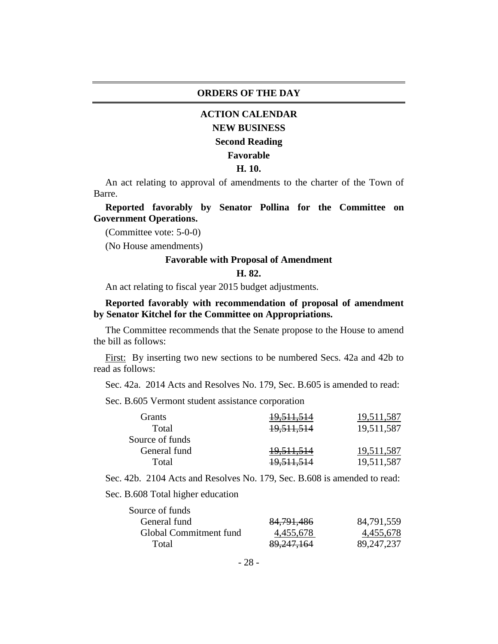#### **ORDERS OF THE DAY**

## **ACTION CALENDAR**

## **NEW BUSINESS**

#### **Second Reading**

#### **Favorable**

#### **H. 10.**

An act relating to approval of amendments to the charter of the Town of Barre.

**Reported favorably by Senator Pollina for the Committee on Government Operations.**

(Committee vote: 5-0-0)

(No House amendments)

#### **Favorable with Proposal of Amendment**

#### **H. 82.**

An act relating to fiscal year 2015 budget adjustments.

#### **Reported favorably with recommendation of proposal of amendment by Senator Kitchel for the Committee on Appropriations.**

The Committee recommends that the Senate propose to the House to amend the bill as follows:

First: By inserting two new sections to be numbered Secs. 42a and 42b to read as follows:

Sec. 42a. 2014 Acts and Resolves No. 179, Sec. B.605 is amended to read:

Sec. B.605 Vermont student assistance corporation

| 19,511,587<br><del>19,511,514</del> |
|-------------------------------------|
| 19,511,587<br>19,511,514            |
|                                     |
| 19,511,587<br>19,511,514            |
| 19,511,587<br><del>19,511,514</del> |
|                                     |

Sec. 42b. 2104 Acts and Resolves No. 179, Sec. B.608 is amended to read:

Sec. B.608 Total higher education

| Source of funds        |              |              |
|------------------------|--------------|--------------|
| General fund           | 84, 791, 486 | 84,791,559   |
| Global Commitment fund | 4,455,678    | 4,455,678    |
| Total                  | 89, 247, 164 | 89, 247, 237 |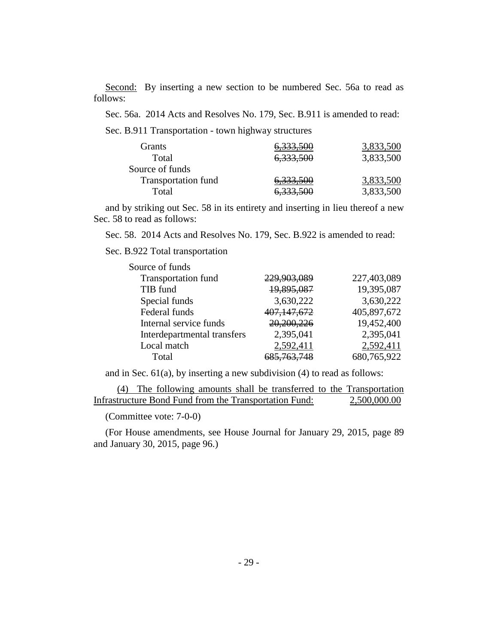Second: By inserting a new section to be numbered Sec. 56a to read as follows:

Sec. 56a. 2014 Acts and Resolves No. 179, Sec. B.911 is amended to read:

Sec. B.911 Transportation - town highway structures

| Grants                     | 6,333,500            | 3,833,500 |
|----------------------------|----------------------|-----------|
| Total                      | 6,333,500            | 3,833,500 |
| Source of funds            |                      |           |
| <b>Transportation fund</b> | 6,333,500            | 3,833,500 |
| Total                      | <del>6,333,500</del> | 3,833,500 |

and by striking out Sec. 58 in its entirety and inserting in lieu thereof a new Sec. 58 to read as follows:

Sec. 58. 2014 Acts and Resolves No. 179, Sec. B.922 is amended to read:

Sec. B.922 Total transportation

| Source of funds             |                        |             |
|-----------------------------|------------------------|-------------|
| <b>Transportation fund</b>  | 229,903,089            | 227,403,089 |
| TIB fund                    | 19,895,087             | 19,395,087  |
| Special funds               | 3,630,222              | 3,630,222   |
| Federal funds               | 407, 147, 672          | 405,897,672 |
| Internal service funds      | 20,200,226             | 19,452,400  |
| Interdepartmental transfers | 2,395,041              | 2,395,041   |
| Local match                 | 2,592,411              | 2,592,411   |
| Total                       | <del>685,763,748</del> | 680,765,922 |

and in Sec.  $61(a)$ , by inserting a new subdivision  $(4)$  to read as follows:

(4) The following amounts shall be transferred to the Transportation Infrastructure Bond Fund from the Transportation Fund: 2,500,000.00

(Committee vote: 7-0-0)

(For House amendments, see House Journal for January 29, 2015, page 89 and January 30, 2015, page 96.)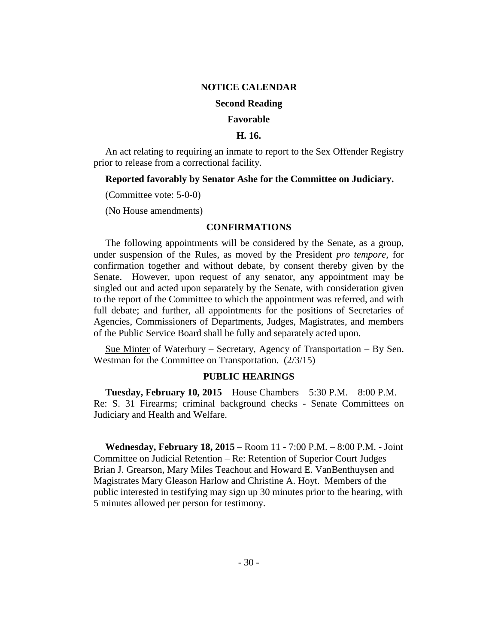#### **NOTICE CALENDAR**

#### **Second Reading**

#### **Favorable**

#### **H. 16.**

An act relating to requiring an inmate to report to the Sex Offender Registry prior to release from a correctional facility.

#### **Reported favorably by Senator Ashe for the Committee on Judiciary.**

(Committee vote: 5-0-0)

(No House amendments)

#### **CONFIRMATIONS**

The following appointments will be considered by the Senate, as a group, under suspension of the Rules, as moved by the President *pro tempore,* for confirmation together and without debate, by consent thereby given by the Senate. However, upon request of any senator, any appointment may be singled out and acted upon separately by the Senate, with consideration given to the report of the Committee to which the appointment was referred, and with full debate; and further, all appointments for the positions of Secretaries of Agencies, Commissioners of Departments, Judges, Magistrates, and members of the Public Service Board shall be fully and separately acted upon.

Sue Minter of Waterbury – Secretary, Agency of Transportation – By Sen. Westman for the Committee on Transportation. (2/3/15)

#### **PUBLIC HEARINGS**

**Tuesday, February 10, 2015** – House Chambers – 5:30 P.M. – 8:00 P.M. – Re: S. 31 Firearms; criminal background checks - Senate Committees on Judiciary and Health and Welfare.

**Wednesday, February 18, 2015** – Room 11 - 7:00 P.M. – 8:00 P.M. - Joint Committee on Judicial Retention – Re: Retention of Superior Court Judges Brian J. Grearson, Mary Miles Teachout and Howard E. VanBenthuysen and Magistrates Mary Gleason Harlow and Christine A. Hoyt. Members of the public interested in testifying may sign up 30 minutes prior to the hearing, with 5 minutes allowed per person for testimony.